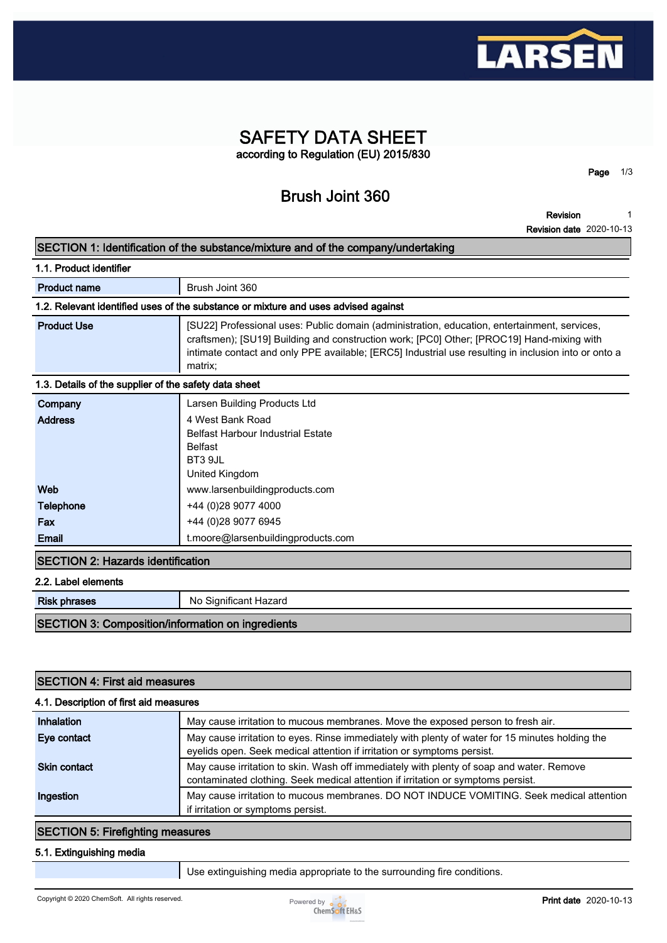

# **SAFETY DATA SHEET according to Regulation (EU) 2015/830**

**Brush Joint 360**

**Revision 1**

**Page 1/3**

**Revision date 2020-10-13**

|                                                          | <b>Revision</b>                                                                                                                                                                                                                                                                                              |
|----------------------------------------------------------|--------------------------------------------------------------------------------------------------------------------------------------------------------------------------------------------------------------------------------------------------------------------------------------------------------------|
|                                                          | <b>Revision date 2020-10-13</b>                                                                                                                                                                                                                                                                              |
|                                                          | SECTION 1: Identification of the substance/mixture and of the company/undertaking                                                                                                                                                                                                                            |
| 1.1. Product identifier                                  |                                                                                                                                                                                                                                                                                                              |
| <b>Product name</b>                                      | Brush Joint 360                                                                                                                                                                                                                                                                                              |
|                                                          | 1.2. Relevant identified uses of the substance or mixture and uses advised against                                                                                                                                                                                                                           |
| <b>Product Use</b>                                       | [SU22] Professional uses: Public domain (administration, education, entertainment, services,<br>craftsmen); [SU19] Building and construction work; [PC0] Other; [PROC19] Hand-mixing with<br>intimate contact and only PPE available; [ERC5] Industrial use resulting in inclusion into or onto a<br>matrix; |
| 1.3. Details of the supplier of the safety data sheet    |                                                                                                                                                                                                                                                                                                              |
| Company                                                  | Larsen Building Products Ltd                                                                                                                                                                                                                                                                                 |
| <b>Address</b>                                           | 4 West Bank Road<br><b>Belfast Harbour Industrial Estate</b><br><b>Belfast</b><br>BT3 9JL<br>United Kingdom                                                                                                                                                                                                  |
| Web                                                      | www.larsenbuildingproducts.com                                                                                                                                                                                                                                                                               |
| <b>Telephone</b>                                         | +44 (0)28 9077 4000                                                                                                                                                                                                                                                                                          |
| Fax                                                      | +44 (0)28 9077 6945                                                                                                                                                                                                                                                                                          |
| <b>Email</b>                                             | t.moore@larsenbuildingproducts.com                                                                                                                                                                                                                                                                           |
| <b>SECTION 2: Hazards identification</b>                 |                                                                                                                                                                                                                                                                                                              |
| 2.2. Label elements                                      |                                                                                                                                                                                                                                                                                                              |
| <b>Risk phrases</b>                                      | No Significant Hazard                                                                                                                                                                                                                                                                                        |
| <b>SECTION 3: Composition/information on ingredients</b> |                                                                                                                                                                                                                                                                                                              |

| <b>SECTION 4: First aid measures</b><br>4.1. Description of first aid measures |                                                                                                                                                                              |  |  |  |
|--------------------------------------------------------------------------------|------------------------------------------------------------------------------------------------------------------------------------------------------------------------------|--|--|--|
|                                                                                |                                                                                                                                                                              |  |  |  |
| Eye contact                                                                    | May cause irritation to eyes. Rinse immediately with plenty of water for 15 minutes holding the<br>eyelids open. Seek medical attention if irritation or symptoms persist.   |  |  |  |
| <b>Skin contact</b>                                                            | May cause irritation to skin. Wash off immediately with plenty of soap and water. Remove<br>contaminated clothing. Seek medical attention if irritation or symptoms persist. |  |  |  |
| Ingestion                                                                      | May cause irritation to mucous membranes. DO NOT INDUCE VOMITING. Seek medical attention<br>if irritation or symptoms persist.                                               |  |  |  |

## **SECTION 5: Firefighting measures**

#### **5.1. Extinguishing media**

**Use extinguishing media appropriate to the surrounding fire conditions.**

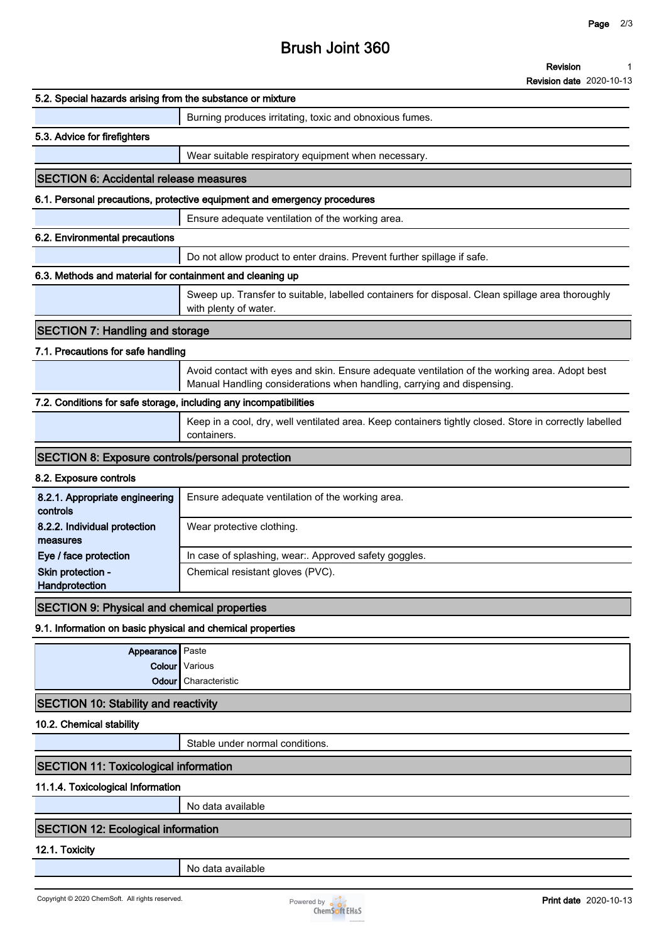# **Brush Joint 360**

#### **Revision 1**

**Revision date 2020-10-13**

| 5.2. Special hazards arising from the substance or mixture        |                                                                                                                                                                         |
|-------------------------------------------------------------------|-------------------------------------------------------------------------------------------------------------------------------------------------------------------------|
|                                                                   | Burning produces irritating, toxic and obnoxious fumes.                                                                                                                 |
| 5.3. Advice for firefighters                                      |                                                                                                                                                                         |
|                                                                   | Wear suitable respiratory equipment when necessary.                                                                                                                     |
| <b>SECTION 6: Accidental release measures</b>                     |                                                                                                                                                                         |
|                                                                   | 6.1. Personal precautions, protective equipment and emergency procedures                                                                                                |
|                                                                   | Ensure adequate ventilation of the working area.                                                                                                                        |
| 6.2. Environmental precautions                                    |                                                                                                                                                                         |
|                                                                   | Do not allow product to enter drains. Prevent further spillage if safe.                                                                                                 |
| 6.3. Methods and material for containment and cleaning up         |                                                                                                                                                                         |
|                                                                   | Sweep up. Transfer to suitable, labelled containers for disposal. Clean spillage area thoroughly<br>with plenty of water.                                               |
| <b>SECTION 7: Handling and storage</b>                            |                                                                                                                                                                         |
| 7.1. Precautions for safe handling                                |                                                                                                                                                                         |
|                                                                   | Avoid contact with eyes and skin. Ensure adequate ventilation of the working area. Adopt best<br>Manual Handling considerations when handling, carrying and dispensing. |
| 7.2. Conditions for safe storage, including any incompatibilities |                                                                                                                                                                         |
|                                                                   | Keep in a cool, dry, well ventilated area. Keep containers tightly closed. Store in correctly labelled<br>containers.                                                   |
| <b>SECTION 8: Exposure controls/personal protection</b>           |                                                                                                                                                                         |
| 8.2. Exposure controls                                            |                                                                                                                                                                         |
| 8.2.1. Appropriate engineering<br>controls                        | Ensure adequate ventilation of the working area.                                                                                                                        |
| 8.2.2. Individual protection<br>measures                          | Wear protective clothing.                                                                                                                                               |
| Eye / face protection                                             | In case of splashing, wear:. Approved safety goggles.                                                                                                                   |
| Skin protection -<br>Handprotection                               | Chemical resistant gloves (PVC).                                                                                                                                        |
| <b>SECTION 9: Physical and chemical properties</b>                |                                                                                                                                                                         |
| 9.1. Information on basic physical and chemical properties        |                                                                                                                                                                         |
| Appearance Paste                                                  |                                                                                                                                                                         |
|                                                                   | Colour   Various                                                                                                                                                        |
| Odour                                                             | Characteristic                                                                                                                                                          |
| <b>SECTION 10: Stability and reactivity</b>                       |                                                                                                                                                                         |
| 10.2. Chemical stability                                          |                                                                                                                                                                         |
|                                                                   | Stable under normal conditions                                                                                                                                          |
| <b>SECTION 11: Toxicological information</b>                      |                                                                                                                                                                         |
| 11.1.4. Toxicological Information                                 |                                                                                                                                                                         |
|                                                                   | No data available                                                                                                                                                       |
| <b>SECTION 12: Ecological information</b>                         |                                                                                                                                                                         |
| 12.1. Toxicity                                                    |                                                                                                                                                                         |
|                                                                   | No data available                                                                                                                                                       |